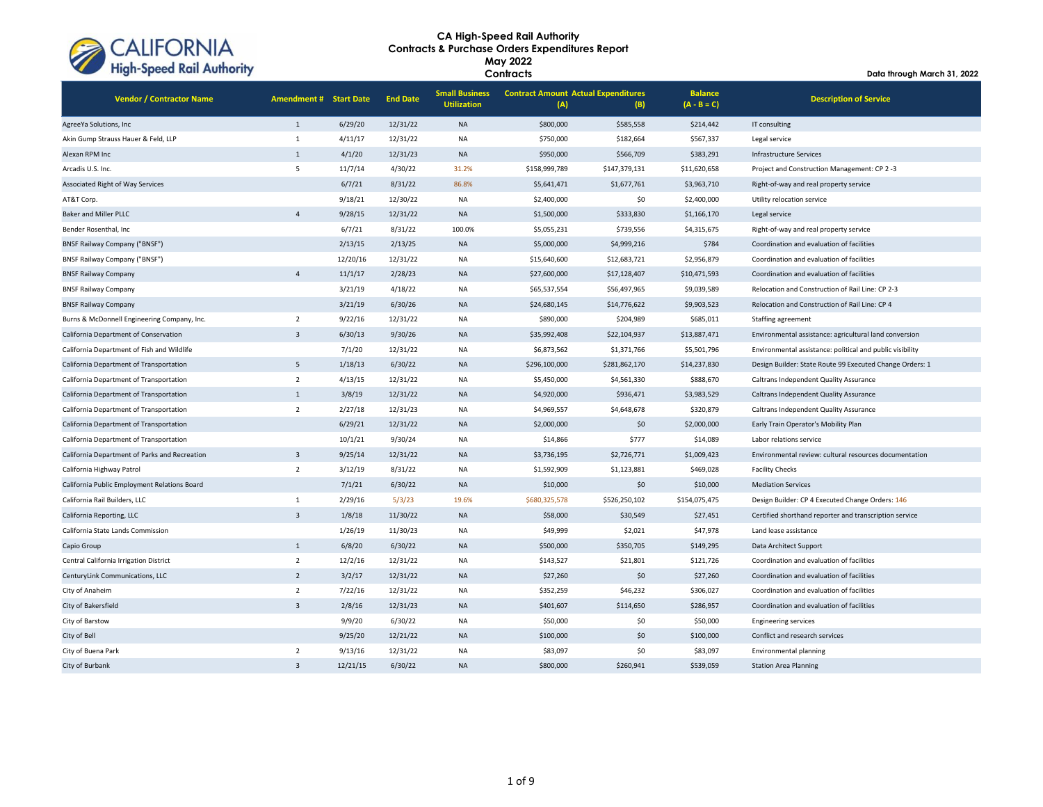

| <b>Ingh opecul Kull Authority</b>             |                               |          |                 | Contracts                                   | Data through March 31, 2022                       |               |                                 |                                                           |
|-----------------------------------------------|-------------------------------|----------|-----------------|---------------------------------------------|---------------------------------------------------|---------------|---------------------------------|-----------------------------------------------------------|
| <b>Vendor / Contractor Name</b>               | <b>Amendment # Start Date</b> |          | <b>End Date</b> | <b>Small Business</b><br><b>Utilization</b> | <b>Contract Amount Actual Expenditures</b><br>(A) | (B)           | <b>Balance</b><br>$(A - B = C)$ | <b>Description of Service</b>                             |
| AgreeYa Solutions, Inc                        | $\mathbf{1}$                  | 6/29/20  | 12/31/22        | <b>NA</b>                                   | \$800,000                                         | \$585,558     | \$214,442                       | IT consulting                                             |
| Akin Gump Strauss Hauer & Feld, LLP           | $\mathbf{1}$                  | 4/11/17  | 12/31/22        | <b>NA</b>                                   | \$750,000                                         | \$182,664     | \$567,337                       | Legal service                                             |
| Alexan RPM Inc                                | $\mathbf{1}$                  | 4/1/20   | 12/31/23        | <b>NA</b>                                   | \$950,000                                         | \$566,709     | \$383,291                       | <b>Infrastructure Services</b>                            |
| Arcadis U.S. Inc.                             | 5                             | 11/7/14  | 4/30/22         | 31.2%                                       | \$158,999,789                                     | \$147,379,131 | \$11,620,658                    | Project and Construction Management: CP 2-3               |
| Associated Right of Way Services              |                               | 6/7/21   | 8/31/22         | 86.8%                                       | \$5,641,471                                       | \$1,677,761   | \$3,963,710                     | Right-of-way and real property service                    |
| AT&T Corp.                                    |                               | 9/18/21  | 12/30/22        | <b>NA</b>                                   | \$2,400,000                                       | \$0           | \$2,400,000                     | Utility relocation service                                |
| <b>Baker and Miller PLLC</b>                  | $\Delta$                      | 9/28/15  | 12/31/22        | <b>NA</b>                                   | \$1,500,000                                       | \$333,830     | \$1,166,170                     | Legal service                                             |
| Bender Rosenthal, Inc                         |                               | 6/7/21   | 8/31/22         | 100.0%                                      | \$5,055,231                                       | \$739,556     | \$4,315,675                     | Right-of-way and real property service                    |
| <b>BNSF Railway Company ("BNSF")</b>          |                               | 2/13/15  | 2/13/25         | <b>NA</b>                                   | \$5,000,000                                       | \$4,999,216   | \$784                           | Coordination and evaluation of facilities                 |
| <b>BNSF Railway Company ("BNSF")</b>          |                               | 12/20/16 | 12/31/22        | <b>NA</b>                                   | \$15,640,600                                      | \$12,683,721  | \$2,956,879                     | Coordination and evaluation of facilities                 |
| <b>BNSF Railway Company</b>                   | $\overline{4}$                | 11/1/17  | 2/28/23         | <b>NA</b>                                   | \$27,600,000                                      | \$17,128,407  | \$10,471,593                    | Coordination and evaluation of facilities                 |
| <b>BNSF Railway Company</b>                   |                               | 3/21/19  | 4/18/22         | <b>NA</b>                                   | \$65,537,554                                      | \$56,497,965  | \$9,039,589                     | Relocation and Construction of Rail Line: CP 2-3          |
| <b>BNSF Railway Company</b>                   |                               | 3/21/19  | 6/30/26         | <b>NA</b>                                   | \$24,680,145                                      | \$14,776,622  | \$9,903,523                     | Relocation and Construction of Rail Line: CP 4            |
| Burns & McDonnell Engineering Company, Inc.   | $\overline{2}$                | 9/22/16  | 12/31/22        | NA                                          | \$890,000                                         | \$204,989     | \$685,011                       | Staffing agreement                                        |
| California Department of Conservation         | $\overline{3}$                | 6/30/13  | 9/30/26         | <b>NA</b>                                   | \$35,992,408                                      | \$22,104,937  | \$13,887,471                    | Environmental assistance: agricultural land conversion    |
| California Department of Fish and Wildlife    |                               | 7/1/20   | 12/31/22        | <b>NA</b>                                   | \$6,873,562                                       | \$1,371,766   | \$5,501,796                     | Environmental assistance: political and public visibility |
| California Department of Transportation       | 5                             | 1/18/13  | 6/30/22         | <b>NA</b>                                   | \$296,100,000                                     | \$281,862,170 | \$14,237,830                    | Design Builder: State Route 99 Executed Change Orders: 1  |
| California Department of Transportation       | $\overline{2}$                | 4/13/15  | 12/31/22        | <b>NA</b>                                   | \$5,450,000                                       | \$4,561,330   | \$888,670                       | Caltrans Independent Quality Assurance                    |
| California Department of Transportation       | $\mathbf{1}$                  | 3/8/19   | 12/31/22        | <b>NA</b>                                   | \$4,920,000                                       | \$936,471     | \$3,983,529                     | Caltrans Independent Quality Assurance                    |
| California Department of Transportation       | $\overline{2}$                | 2/27/18  | 12/31/23        | <b>NA</b>                                   | \$4,969,557                                       | \$4,648,678   | \$320,879                       | Caltrans Independent Quality Assurance                    |
| California Department of Transportation       |                               | 6/29/21  | 12/31/22        | <b>NA</b>                                   | \$2,000,000                                       | \$0           | \$2,000,000                     | Early Train Operator's Mobility Plan                      |
| California Department of Transportation       |                               | 10/1/21  | 9/30/24         | <b>NA</b>                                   | \$14,866                                          | \$777         | \$14,089                        | Labor relations service                                   |
| California Department of Parks and Recreation | $\overline{3}$                | 9/25/14  | 12/31/22        | <b>NA</b>                                   | \$3,736,195                                       | \$2,726,771   | \$1,009,423                     | Environmental review: cultural resources documentation    |
| California Highway Patrol                     | $\overline{2}$                | 3/12/19  | 8/31/22         | <b>NA</b>                                   | \$1,592,909                                       | \$1,123,881   | \$469,028                       | <b>Facility Checks</b>                                    |
| California Public Employment Relations Board  |                               | 7/1/21   | 6/30/22         | <b>NA</b>                                   | \$10,000                                          | \$0           | \$10,000                        | <b>Mediation Services</b>                                 |
| California Rail Builders, LLC                 | $\mathbf{1}$                  | 2/29/16  | 5/3/23          | 19.6%                                       | \$680,325,578                                     | \$526,250,102 | \$154,075,475                   | Design Builder: CP 4 Executed Change Orders: 146          |
| California Reporting, LLC                     | $\overline{3}$                | 1/8/18   | 11/30/22        | <b>NA</b>                                   | \$58,000                                          | \$30,549      | \$27,451                        | Certified shorthand reporter and transcription service    |
| California State Lands Commission             |                               | 1/26/19  | 11/30/23        | <b>NA</b>                                   | \$49,999                                          | \$2,021       | \$47,978                        | Land lease assistance                                     |
| Capio Group                                   | $\mathbf{1}$                  | 6/8/20   | 6/30/22         | <b>NA</b>                                   | \$500,000                                         | \$350,705     | \$149,295                       | Data Architect Support                                    |
| Central California Irrigation District        | $\overline{2}$                | 12/2/16  | 12/31/22        | <b>NA</b>                                   | \$143,527                                         | \$21,801      | \$121,726                       | Coordination and evaluation of facilities                 |
| CenturyLink Communications, LLC               | $\overline{2}$                | 3/2/17   | 12/31/22        | <b>NA</b>                                   | \$27,260                                          | \$0           | \$27,260                        | Coordination and evaluation of facilities                 |
| City of Anaheim                               | $\overline{2}$                | 7/22/16  | 12/31/22        | <b>NA</b>                                   | \$352,259                                         | \$46,232      | \$306,027                       | Coordination and evaluation of facilities                 |
| City of Bakersfield                           | $\overline{3}$                | 2/8/16   | 12/31/23        | <b>NA</b>                                   | \$401,607                                         | \$114,650     | \$286,957                       | Coordination and evaluation of facilities                 |
| City of Barstow                               |                               | 9/9/20   | 6/30/22         | <b>NA</b>                                   | \$50,000                                          | \$0           | \$50,000                        | <b>Engineering services</b>                               |
| City of Bell                                  |                               | 9/25/20  | 12/21/22        | <b>NA</b>                                   | \$100,000                                         | \$0           | \$100,000                       | Conflict and research services                            |
| City of Buena Park                            | $\overline{2}$                | 9/13/16  | 12/31/22        | <b>NA</b>                                   | \$83,097                                          | \$0           | \$83,097                        | <b>Environmental planning</b>                             |
| City of Burbank                               | $\overline{3}$                | 12/21/15 | 6/30/22         | <b>NA</b>                                   | \$800,000                                         | \$260.941     | \$539.059                       | <b>Station Area Planning</b>                              |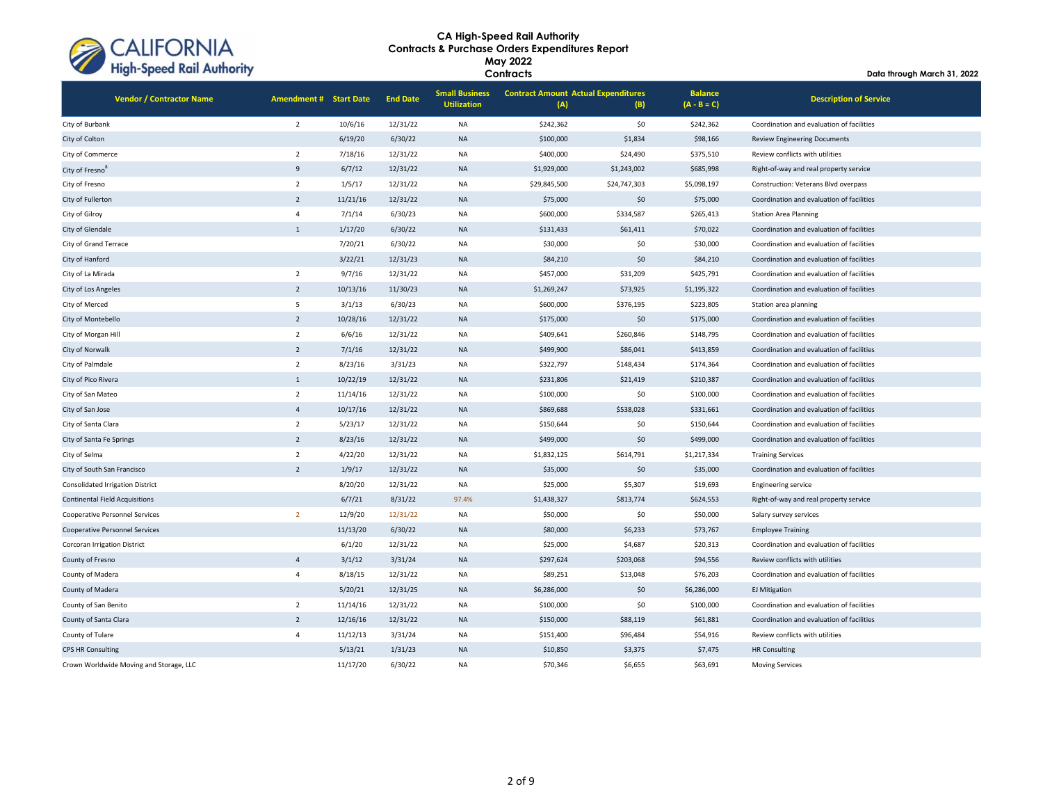

**Contracts**

| <b>Vendor / Contractor Name</b>         | <b>Amendment # Start Date</b> |          | <b>End Date</b> | <b>Small Business</b><br><b>Utilization</b> | <b>Contract Amount Actual Expenditures</b><br>(A) | (B)          | <b>Balance</b><br>$(A - B = C)$ | <b>Description of Service</b>             |
|-----------------------------------------|-------------------------------|----------|-----------------|---------------------------------------------|---------------------------------------------------|--------------|---------------------------------|-------------------------------------------|
| City of Burbank                         | $\overline{2}$                | 10/6/16  | 12/31/22        | NA                                          | \$242,362                                         | \$0          | \$242,362                       | Coordination and evaluation of facilities |
| City of Colton                          |                               | 6/19/20  | 6/30/22         | <b>NA</b>                                   | \$100,000                                         | \$1,834      | \$98,166                        | <b>Review Engineering Documents</b>       |
| City of Commerce                        | $\overline{2}$                | 7/18/16  | 12/31/22        | NA                                          | \$400,000                                         | \$24,490     | \$375,510                       | Review conflicts with utilities           |
| City of Fresno <sup>8</sup>             | 9                             | 6/7/12   | 12/31/22        | <b>NA</b>                                   | \$1,929,000                                       | \$1,243,002  | \$685,998                       | Right-of-way and real property service    |
| City of Fresno                          | $\overline{2}$                | 1/5/17   | 12/31/22        | NA                                          | \$29,845,500                                      | \$24,747,303 | \$5,098,197                     | Construction: Veterans Blvd overpass      |
| City of Fullerton                       | $\overline{2}$                | 11/21/16 | 12/31/22        | <b>NA</b>                                   | \$75,000                                          | \$0          | \$75,000                        | Coordination and evaluation of facilities |
| City of Gilroy                          | $\overline{4}$                | 7/1/14   | 6/30/23         | <b>NA</b>                                   | \$600,000                                         | \$334,587    | \$265,413                       | <b>Station Area Planning</b>              |
| City of Glendale                        | $\mathbf{1}$                  | 1/17/20  | 6/30/22         | <b>NA</b>                                   | \$131,433                                         | \$61,411     | \$70,022                        | Coordination and evaluation of facilities |
| City of Grand Terrace                   |                               | 7/20/21  | 6/30/22         | NA                                          | \$30,000                                          | \$0          | \$30,000                        | Coordination and evaluation of facilities |
| City of Hanford                         |                               | 3/22/21  | 12/31/23        | <b>NA</b>                                   | \$84,210                                          | \$0          | \$84,210                        | Coordination and evaluation of facilities |
| City of La Mirada                       | $\overline{2}$                | 9/7/16   | 12/31/22        | NA                                          | \$457,000                                         | \$31,209     | \$425,791                       | Coordination and evaluation of facilities |
| City of Los Angeles                     | $\overline{2}$                | 10/13/16 | 11/30/23        | <b>NA</b>                                   | \$1,269,247                                       | \$73,925     | \$1,195,322                     | Coordination and evaluation of facilities |
| City of Merced                          | $\overline{5}$                | 3/1/13   | 6/30/23         | NA                                          | \$600,000                                         | \$376,195    | \$223,805                       | Station area planning                     |
| City of Montebello                      | $\overline{2}$                | 10/28/16 | 12/31/22        | <b>NA</b>                                   | \$175,000                                         | \$0          | \$175,000                       | Coordination and evaluation of facilities |
| City of Morgan Hill                     | $\overline{2}$                | 6/6/16   | 12/31/22        | NA                                          | \$409,641                                         | \$260,846    | \$148,795                       | Coordination and evaluation of facilities |
| City of Norwalk                         | $\overline{2}$                | 7/1/16   | 12/31/22        | <b>NA</b>                                   | \$499,900                                         | \$86,041     | \$413,859                       | Coordination and evaluation of facilities |
| City of Palmdale                        | $\overline{2}$                | 8/23/16  | 3/31/23         | NA                                          | \$322,797                                         | \$148,434    | \$174,364                       | Coordination and evaluation of facilities |
| City of Pico Rivera                     | $1\,$                         | 10/22/19 | 12/31/22        | <b>NA</b>                                   | \$231,806                                         | \$21,419     | \$210,387                       | Coordination and evaluation of facilities |
| City of San Mateo                       | $\overline{2}$                | 11/14/16 | 12/31/22        | NA                                          | \$100,000                                         | \$0          | \$100,000                       | Coordination and evaluation of facilities |
| City of San Jose                        | $\overline{4}$                | 10/17/16 | 12/31/22        | <b>NA</b>                                   | \$869,688                                         | \$538,028    | \$331,661                       | Coordination and evaluation of facilities |
| City of Santa Clara                     | $\overline{2}$                | 5/23/17  | 12/31/22        | NA                                          | \$150,644                                         | \$0          | \$150,644                       | Coordination and evaluation of facilities |
| City of Santa Fe Springs                | $\overline{2}$                | 8/23/16  | 12/31/22        | <b>NA</b>                                   | \$499,000                                         | \$0          | \$499,000                       | Coordination and evaluation of facilities |
| City of Selma                           | $\overline{2}$                | 4/22/20  | 12/31/22        | NA                                          | \$1,832,125                                       | \$614,791    | \$1,217,334                     | <b>Training Services</b>                  |
| City of South San Francisco             | $\overline{2}$                | 1/9/17   | 12/31/22        | <b>NA</b>                                   | \$35,000                                          | \$0          | \$35,000                        | Coordination and evaluation of facilities |
| <b>Consolidated Irrigation District</b> |                               | 8/20/20  | 12/31/22        | NA                                          | \$25,000                                          | \$5,307      | \$19,693                        | <b>Engineering service</b>                |
| <b>Continental Field Acquisitions</b>   |                               | 6/7/21   | 8/31/22         | 97.4%                                       | \$1,438,327                                       | \$813,774    | \$624,553                       | Right-of-way and real property service    |
| Cooperative Personnel Services          | $\overline{2}$                | 12/9/20  | 12/31/22        | NA                                          | \$50,000                                          | \$0          | \$50,000                        | Salary survey services                    |
| <b>Cooperative Personnel Services</b>   |                               | 11/13/20 | 6/30/22         | <b>NA</b>                                   | \$80,000                                          | \$6,233      | \$73,767                        | <b>Employee Training</b>                  |
| Corcoran Irrigation District            |                               | 6/1/20   | 12/31/22        | NA                                          | \$25,000                                          | \$4,687      | \$20,313                        | Coordination and evaluation of facilities |
| County of Fresno                        | $\overline{4}$                | 3/1/12   | 3/31/24         | <b>NA</b>                                   | \$297,624                                         | \$203,068    | \$94,556                        | Review conflicts with utilities           |
| County of Madera                        | $\overline{4}$                | 8/18/15  | 12/31/22        | NA                                          | \$89,251                                          | \$13,048     | \$76,203                        | Coordination and evaluation of facilities |
| County of Madera                        |                               | 5/20/21  | 12/31/25        | <b>NA</b>                                   | \$6,286,000                                       | \$0          | \$6,286,000                     | <b>EJ Mitigation</b>                      |
| County of San Benito                    | $\overline{2}$                | 11/14/16 | 12/31/22        | NA                                          | \$100,000                                         | \$0          | \$100,000                       | Coordination and evaluation of facilities |
| County of Santa Clara                   | $\overline{2}$                | 12/16/16 | 12/31/22        | <b>NA</b>                                   | \$150,000                                         | \$88,119     | \$61,881                        | Coordination and evaluation of facilities |
| County of Tulare                        | $\overline{4}$                | 11/12/13 | 3/31/24         | NA                                          | \$151,400                                         | \$96,484     | \$54,916                        | Review conflicts with utilities           |
| <b>CPS HR Consulting</b>                |                               | 5/13/21  | 1/31/23         | <b>NA</b>                                   | \$10,850                                          | \$3,375      | \$7,475                         | <b>HR Consulting</b>                      |
| Crown Worldwide Moving and Storage, LLC |                               | 11/17/20 | 6/30/22         | NA                                          | \$70,346                                          | \$6,655      | \$63,691                        | <b>Moving Services</b>                    |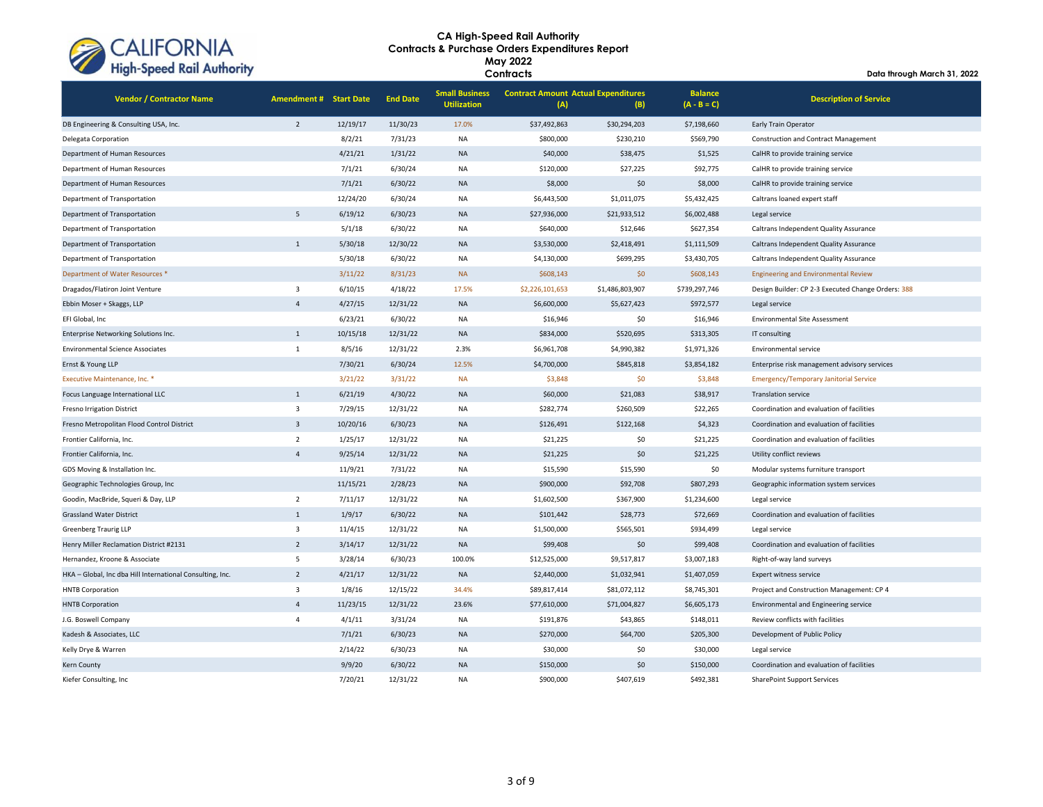

| The open Kall Additionly                                  |                               |          |                 |                                             | Contracts                                         |                 |                                 | Data through March 31, 2022                        |  |
|-----------------------------------------------------------|-------------------------------|----------|-----------------|---------------------------------------------|---------------------------------------------------|-----------------|---------------------------------|----------------------------------------------------|--|
| <b>Vendor / Contractor Name</b>                           | <b>Amendment # Start Date</b> |          | <b>End Date</b> | <b>Small Business</b><br><b>Utilization</b> | <b>Contract Amount Actual Expenditures</b><br>(A) | (B)             | <b>Balance</b><br>$(A - B = C)$ | <b>Description of Service</b>                      |  |
| DB Engineering & Consulting USA, Inc.                     | $\overline{2}$                | 12/19/17 | 11/30/23        | 17.0%                                       | \$37,492,863                                      | \$30,294,203    | \$7,198,660                     | Early Train Operator                               |  |
| Delegata Corporation                                      |                               | 8/2/21   | 7/31/23         | <b>NA</b>                                   | \$800,000                                         | \$230,210       | \$569,790                       | <b>Construction and Contract Management</b>        |  |
| Department of Human Resources                             |                               | 4/21/21  | 1/31/22         | <b>NA</b>                                   | \$40,000                                          | \$38,475        | \$1,525                         | CalHR to provide training service                  |  |
| Department of Human Resources                             |                               | 7/1/21   | 6/30/24         | <b>NA</b>                                   | \$120,000                                         | \$27,225        | \$92,775                        | CalHR to provide training service                  |  |
| Department of Human Resources                             |                               | 7/1/21   | 6/30/22         | <b>NA</b>                                   | \$8,000                                           | \$0             | \$8,000                         | CalHR to provide training service                  |  |
| Department of Transportation                              |                               | 12/24/20 | 6/30/24         | NA                                          | \$6,443,500                                       | \$1,011,075     | \$5,432,425                     | Caltrans loaned expert staff                       |  |
| Department of Transportation                              | 5                             | 6/19/12  | 6/30/23         | <b>NA</b>                                   | \$27,936,000                                      | \$21,933,512    | \$6,002,488                     | Legal service                                      |  |
| Department of Transportation                              |                               | 5/1/18   | 6/30/22         | <b>NA</b>                                   | \$640,000                                         | \$12,646        | \$627,354                       | Caltrans Independent Quality Assurance             |  |
| Department of Transportation                              | $\mathbf{1}$                  | 5/30/18  | 12/30/22        | <b>NA</b>                                   | \$3,530,000                                       | \$2,418,491     | \$1,111,509                     | Caltrans Independent Quality Assurance             |  |
| Department of Transportation                              |                               | 5/30/18  | 6/30/22         | NA                                          | \$4,130,000                                       | \$699,295       | \$3,430,705                     | Caltrans Independent Quality Assurance             |  |
| Department of Water Resources *                           |                               | 3/11/22  | 8/31/23         | <b>NA</b>                                   | \$608,143                                         | \$0             | \$608,143                       | <b>Engineering and Environmental Review</b>        |  |
| Dragados/Flatiron Joint Venture                           | $\overline{\mathbf{3}}$       | 6/10/15  | 4/18/22         | 17.5%                                       | \$2,226,101,653                                   | \$1,486,803,907 | \$739,297,746                   | Design Builder: CP 2-3 Executed Change Orders: 388 |  |
| Ebbin Moser + Skaggs, LLP                                 | $\overline{4}$                | 4/27/15  | 12/31/22        | <b>NA</b>                                   | \$6,600,000                                       | \$5,627,423     | \$972,577                       | Legal service                                      |  |
| EFI Global, Inc                                           |                               | 6/23/21  | 6/30/22         | <b>NA</b>                                   | \$16,946                                          | \$0             | \$16,946                        | <b>Environmental Site Assessment</b>               |  |
| Enterprise Networking Solutions Inc.                      | $1\,$                         | 10/15/18 | 12/31/22        | <b>NA</b>                                   | \$834,000                                         | \$520,695       | \$313,305                       | IT consulting                                      |  |
| <b>Environmental Science Associates</b>                   | $\mathbf 1$                   | 8/5/16   | 12/31/22        | 2.3%                                        | \$6,961,708                                       | \$4,990,382     | \$1,971,326                     | Environmental service                              |  |
| Ernst & Young LLP                                         |                               | 7/30/21  | 6/30/24         | 12.5%                                       | \$4,700,000                                       | \$845,818       | \$3,854,182                     | Enterprise risk management advisory services       |  |
| Executive Maintenance, Inc. *                             |                               | 3/21/22  | 3/31/22         | <b>NA</b>                                   | \$3,848                                           | \$0             | \$3,848                         | <b>Emergency/Temporary Janitorial Service</b>      |  |
| Focus Language International LLC                          | 1                             | 6/21/19  | 4/30/22         | <b>NA</b>                                   | \$60,000                                          | \$21,083        | \$38,917                        | <b>Translation service</b>                         |  |
| Fresno Irrigation District                                | $\overline{3}$                | 7/29/15  | 12/31/22        | NA                                          | \$282,774                                         | \$260,509       | \$22,265                        | Coordination and evaluation of facilities          |  |
| Fresno Metropolitan Flood Control District                | $\overline{3}$                | 10/20/16 | 6/30/23         | <b>NA</b>                                   | \$126,491                                         | \$122,168       | \$4,323                         | Coordination and evaluation of facilities          |  |
| Frontier California, Inc.                                 | $\overline{2}$                | 1/25/17  | 12/31/22        | NA                                          | \$21,225                                          | \$0             | \$21,225                        | Coordination and evaluation of facilities          |  |
| Frontier California, Inc.                                 | $\overline{4}$                | 9/25/14  | 12/31/22        | <b>NA</b>                                   | \$21,225                                          | \$0             | \$21,225                        | Utility conflict reviews                           |  |
| GDS Moving & Installation Inc.                            |                               | 11/9/21  | 7/31/22         | <b>NA</b>                                   | \$15,590                                          | \$15,590        | \$0                             | Modular systems furniture transport                |  |
| Geographic Technologies Group, Inc                        |                               | 11/15/21 | 2/28/23         | <b>NA</b>                                   | \$900,000                                         | \$92,708        | \$807,293                       | Geographic information system services             |  |
| Goodin, MacBride, Squeri & Day, LLP                       | $\overline{2}$                | 7/11/17  | 12/31/22        | <b>NA</b>                                   | \$1,602,500                                       | \$367,900       | \$1,234,600                     | Legal service                                      |  |
| <b>Grassland Water District</b>                           | $\mathbf{1}$                  | 1/9/17   | 6/30/22         | <b>NA</b>                                   | \$101,442                                         | \$28,773        | \$72,669                        | Coordination and evaluation of facilities          |  |
| <b>Greenberg Traurig LLP</b>                              | $\overline{3}$                | 11/4/15  | 12/31/22        | <b>NA</b>                                   | \$1,500,000                                       | \$565,501       | \$934,499                       | Legal service                                      |  |
| Henry Miller Reclamation District #2131                   | $\overline{2}$                | 3/14/17  | 12/31/22        | <b>NA</b>                                   | \$99,408                                          | \$0             | \$99,408                        | Coordination and evaluation of facilities          |  |
| Hernandez, Kroone & Associate                             | 5                             | 3/28/14  | 6/30/23         | 100.0%                                      | \$12,525,000                                      | \$9,517,817     | \$3,007,183                     | Right-of-way land surveys                          |  |
| HKA - Global, Inc dba Hill International Consulting, Inc. | $\overline{2}$                | 4/21/17  | 12/31/22        | <b>NA</b>                                   | \$2,440,000                                       | \$1,032,941     | \$1,407,059                     | <b>Expert witness service</b>                      |  |
| <b>HNTB Corporation</b>                                   | $\overline{\mathbf{3}}$       | 1/8/16   | 12/15/22        | 34.4%                                       | \$89,817,414                                      | \$81,072,112    | \$8,745,301                     | Project and Construction Management: CP 4          |  |
| <b>HNTB Corporation</b>                                   | $\overline{4}$                | 11/23/15 | 12/31/22        | 23.6%                                       | \$77,610,000                                      | \$71,004,827    | \$6,605,173                     | Environmental and Engineering service              |  |
| J.G. Boswell Company                                      | $\overline{4}$                | 4/1/11   | 3/31/24         | <b>NA</b>                                   | \$191,876                                         | \$43,865        | \$148,011                       | Review conflicts with facilities                   |  |
| Kadesh & Associates, LLC                                  |                               | 7/1/21   | 6/30/23         | <b>NA</b>                                   | \$270,000                                         | \$64,700        | \$205,300                       | Development of Public Policy                       |  |
| Kelly Drye & Warren                                       |                               | 2/14/22  | 6/30/23         | <b>NA</b>                                   | \$30,000                                          | \$0             | \$30,000                        | Legal service                                      |  |
| Kern County                                               |                               | 9/9/20   | 6/30/22         | <b>NA</b>                                   | \$150,000                                         | \$0             | \$150,000                       | Coordination and evaluation of facilities          |  |
| Kiefer Consulting, Inc.                                   |                               | 7/20/21  | 12/31/22        | <b>NA</b>                                   | \$900,000                                         | \$407.619       | \$492.381                       | <b>SharePoint Support Services</b>                 |  |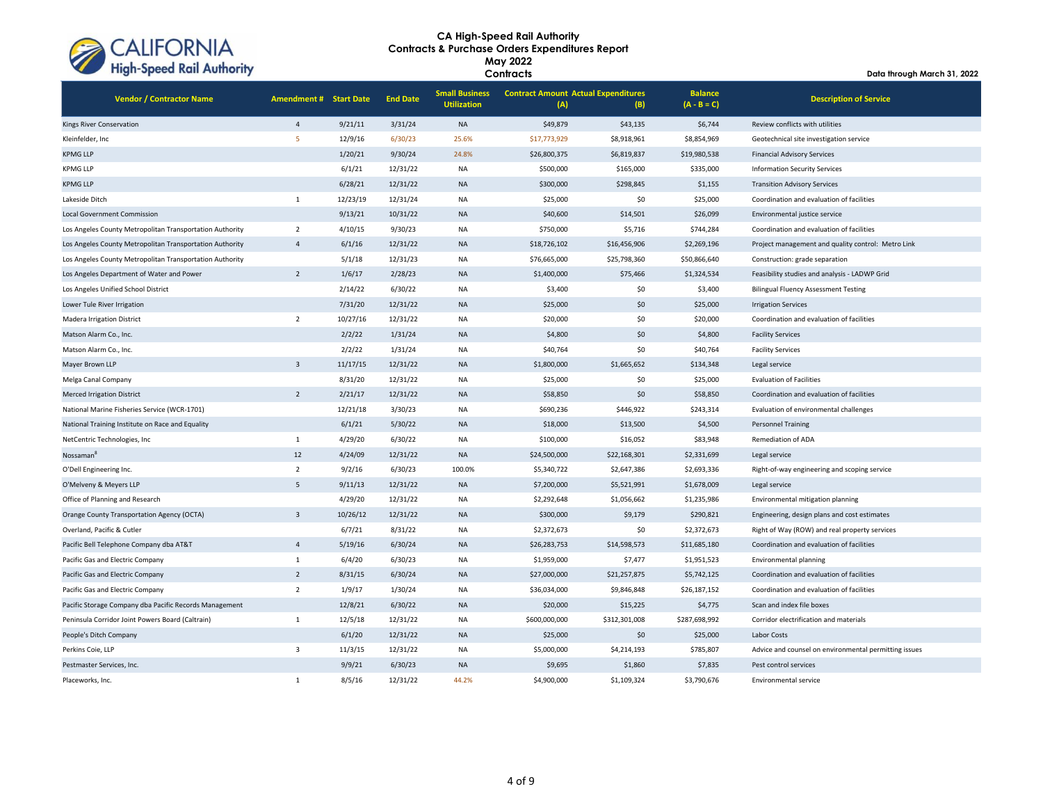

**Data through March 31, 2022**

| <b>Vendor / Contractor Name</b>                          | <b>Amendment #</b> | <b>Start Date</b> | <b>End Date</b> | <b>Small Business</b><br><b>Utilization</b> | <b>Contract Amount Actual Expenditures</b><br>(A) | (B)          | <b>Balance</b><br>$(A - B = C)$ | <b>Description of Service</b>                      |
|----------------------------------------------------------|--------------------|-------------------|-----------------|---------------------------------------------|---------------------------------------------------|--------------|---------------------------------|----------------------------------------------------|
| Kings River Conservation                                 | $\overline{4}$     | 9/21/11           | 3/31/24         | <b>NA</b>                                   | \$49,879                                          | \$43,135     | \$6,744                         | Review conflicts with utilities                    |
| Kleinfelder, Inc                                         | 5                  | 12/9/16           | 6/30/23         | 25.6%                                       | \$17,773,929                                      | \$8,918,961  | \$8,854,969                     | Geotechnical site investigation service            |
| <b>KPMG LLP</b>                                          |                    | 1/20/21           | 9/30/24         | 24.8%                                       | \$26,800,375                                      | \$6,819,837  | \$19,980,538                    | <b>Financial Advisory Services</b>                 |
| <b>KPMG LLP</b>                                          |                    | 6/1/21            | 12/31/22        | <b>NA</b>                                   | \$500,000                                         | \$165,000    | \$335,000                       | <b>Information Security Services</b>               |
| <b>KPMG LLP</b>                                          |                    | 6/28/21           | 12/31/22        | <b>NA</b>                                   | \$300,000                                         | \$298,845    | \$1,155                         | <b>Transition Advisory Services</b>                |
| Lakeside Ditch                                           | $\mathbf{1}$       | 12/23/19          | 12/31/24        | <b>NA</b>                                   | \$25,000                                          | \$0          | \$25,000                        | Coordination and evaluation of facilities          |
| <b>Local Government Commission</b>                       |                    | 9/13/21           | 10/31/22        | <b>NA</b>                                   | \$40,600                                          | \$14,501     | \$26,099                        | Environmental justice service                      |
| Los Angeles County Metropolitan Transportation Authority | $\overline{2}$     | 4/10/15           | 9/30/23         | <b>NA</b>                                   | \$750,000                                         | \$5,716      | \$744,284                       | Coordination and evaluation of facilities          |
| Los Angeles County Metropolitan Transportation Authority | $\overline{4}$     | 6/1/16            | 12/31/22        | <b>NA</b>                                   | \$18,726,102                                      | \$16,456,906 | \$2,269,196                     | Project management and quality control: Metro Link |
| Los Angeles County Metropolitan Transportation Authority |                    | 5/1/18            | 12/31/23        | <b>NA</b>                                   | \$76,665,000                                      | \$25,798,360 | \$50,866,640                    | Construction: grade separation                     |
| Los Angeles Department of Water and Power                | $\overline{2}$     | 1/6/17            | 2/28/23         | <b>NA</b>                                   | \$1,400,000                                       | \$75,466     | \$1,324,534                     | Feasibility studies and analysis - LADWP Grid      |
| Los Angeles Unified School District                      |                    | 2/14/22           | 6/30/22         | <b>NA</b>                                   | \$3,400                                           | \$0          | \$3,400                         | <b>Bilingual Fluency Assessment Testing</b>        |
| Lower Tule River Irrigation                              |                    | 7/31/20           | 12/31/22        | <b>NA</b>                                   | \$25,000                                          | \$0          | \$25,000                        | <b>Irrigation Services</b>                         |
| Madera Irrigation District                               | $\overline{2}$     | 10/27/16          | 12/31/22        | <b>NA</b>                                   | \$20,000                                          | \$0          | \$20,000                        | Coordination and evaluation of facilities          |
| Matson Alarm Co., Inc.                                   |                    | 2/2/22            | 1/31/24         | <b>NA</b>                                   | \$4,800                                           | \$0          | \$4,800                         | <b>Facility Services</b>                           |
| Matson Alarm Co., Inc.                                   |                    | 2/2/22            | 1/31/24         | <b>NA</b>                                   | \$40,764                                          | \$0          | \$40,764                        | <b>Facility Services</b>                           |
| Mayer Brown LLP                                          | $\overline{3}$     | 11/17/15          | 12/31/22        | <b>NA</b>                                   | \$1,800,000                                       | \$1,665,652  | \$134,348                       | Legal service                                      |
| Melga Canal Company                                      |                    | 8/31/20           | 12/31/22        | <b>NA</b>                                   | \$25,000                                          | \$0          | \$25,000                        | <b>Evaluation of Facilities</b>                    |
| <b>Merced Irrigation District</b>                        | $\overline{2}$     | 2/21/17           | 12/31/22        | <b>NA</b>                                   | \$58,850                                          | \$0          | \$58,850                        | Coordination and evaluation of facilities          |
| National Marine Fisheries Service (WCR-1701)             |                    | 12/21/18          | 3/30/23         | <b>NA</b>                                   | \$690,236                                         | \$446,922    | \$243,314                       | Evaluation of environmental challenges             |
| National Training Institute on Race and Equality         |                    | 6/1/21            | 5/30/22         | <b>NA</b>                                   | \$18,000                                          | \$13,500     | \$4,500                         | <b>Personnel Training</b>                          |
| NetCentric Technologies, Inc                             | $\mathbf{1}$       | 4/29/20           | 6/30/22         | <b>NA</b>                                   | \$100,000                                         | \$16,052     | \$83,948                        | Remediation of ADA                                 |
| Nossaman <sup>8</sup>                                    | 12                 | 4/24/09           | 12/31/22        | <b>NA</b>                                   | \$24,500,000                                      | \$22,168,301 | \$2,331,699                     | Legal service                                      |
| O'Dell Engineering Inc.                                  | $\overline{2}$     | 9/2/16            | 6/30/23         | 100.0%                                      | \$5,340,722                                       | \$2,647,386  | \$2,693,336                     | Right-of-way engineering and scoping service       |
| O'Melveny & Meyers LLP                                   | 5                  | 9/11/13           | 12/31/22        | <b>NA</b>                                   | \$7,200,000                                       | \$5,521,991  | \$1,678,009                     | Legal service                                      |
| Office of Planning and Research                          |                    | 4/29/20           | 12/31/22        | NA                                          | \$2,292,648                                       | \$1,056,662  | \$1,235,986                     | Environmental mitigation planning                  |
| Orange County Transportation Agency (OCTA)               | $\overline{3}$     | 10/26/12          | 12/31/22        | <b>NA</b>                                   | \$300,000                                         | \$9,179      | \$290,821                       | Engineering, design plans and cost estimates       |
| Overland, Pacific & Cutler                               |                    | 6/7/21            | 8/31/22         | <b>NA</b>                                   | \$2,372,673                                       | \$0          | \$2,372,673                     | Right of Way (ROW) and real property services      |
| Pacific Bell Telephone Company dba AT&T                  | $\overline{4}$     | 5/19/16           | 6/30/24         | <b>NA</b>                                   | \$26,283,753                                      | \$14,598,573 | \$11,685,180                    | Coordination and evaluation of facilities          |
| Pacific Gas and Electric Company                         | 1                  | 6/4/20            | 6/30/23         | <b>NA</b>                                   | \$1,959,000                                       | \$7,477      | \$1,951,523                     | Environmental planning                             |
| Pacific Gas and Electric Company                         | $\overline{2}$     | 8/31/15           | 6/30/24         | <b>NA</b>                                   | \$27,000,000                                      | \$21,257,875 | \$5,742,125                     | Coordination and evaluation of facilities          |
| Pacific Gas and Electric Company                         | $\overline{2}$     | 1/9/17            | 1/30/24         | <b>NA</b>                                   | \$36,034,000                                      | \$9,846.848  | \$26.187.152                    | Coordination and evaluation of facilities          |

Pacific Storage Company dba Pacific Records Management 12/8/21 6/30/22 NA \$20,000 \$15,225 \$4,775 Scan and index file boxes Peninsula Corridor Joint Powers Board (Caltrain) 11 12/5/18 12/31/22 NA \$600,000,000 \$312,301,008 \$287,698,992 Corridor electrification and materials

Pestmaster Services, Inc. 9/9/21 6/30/23 NA \$9,695 \$1,860 \$7,835 Pest control services Placeworks, Inc. 1 8/5/16 12/31/22 44.2% \$4,900,000 \$1,109,324 \$3,790,676 Environmental service

Perkins Coie, LLP 3 11/3/15 12/31/22 NA \$5,000,000 \$4,214,193 \$785,807 Advice and counsel on environmental permitting issues

People's Ditch Company 6/1/20 12/31/22 NA \$25,000 \$0 \$25,000 Labor Costs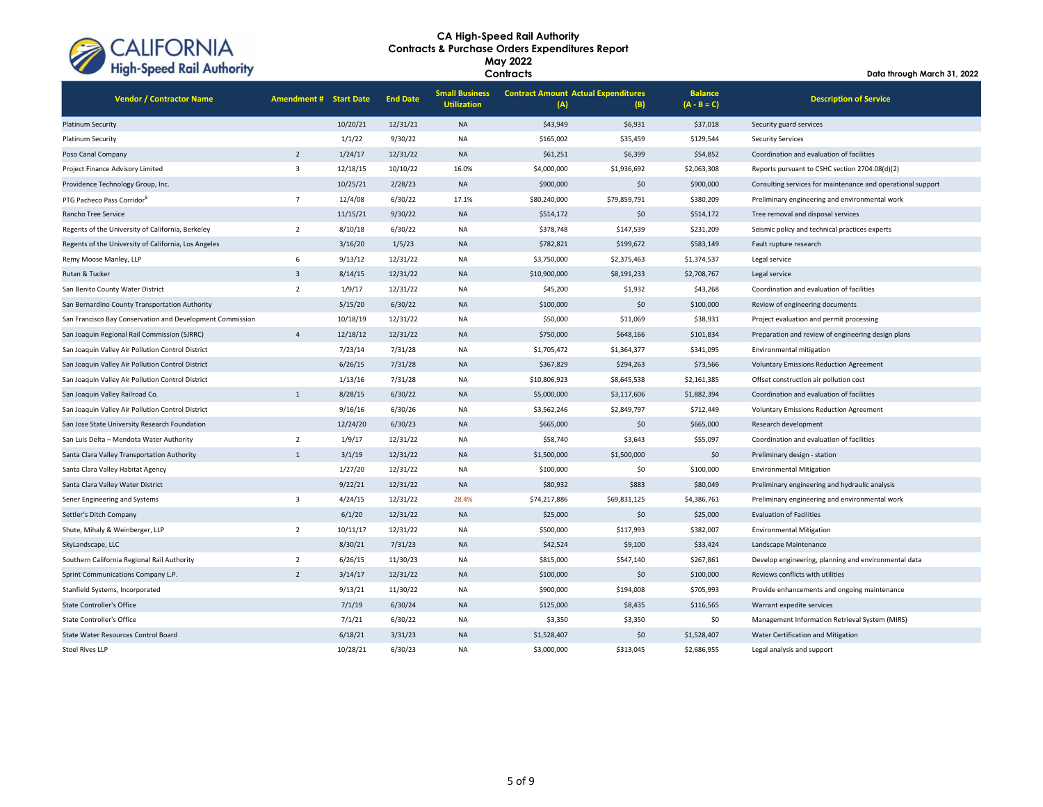

**Contracts**

| <b>Vendor / Contractor Name</b>                           | <b>Amendment # Start Date</b> |          | <b>End Date</b> | <b>Small Business</b><br><b>Utilization</b> | <b>Contract Amount Actual Expenditures</b><br>(A) | (B)          | <b>Balance</b><br>$(A - B = C)$ | <b>Description of Service</b>                               |
|-----------------------------------------------------------|-------------------------------|----------|-----------------|---------------------------------------------|---------------------------------------------------|--------------|---------------------------------|-------------------------------------------------------------|
| <b>Platinum Security</b>                                  |                               | 10/20/21 | 12/31/21        | <b>NA</b>                                   | \$43,949                                          | \$6,931      | \$37,018                        | Security guard services                                     |
| Platinum Security                                         |                               | 1/1/22   | 9/30/22         | <b>NA</b>                                   | \$165,002                                         | \$35,459     | \$129,544                       | <b>Security Services</b>                                    |
| Poso Canal Company                                        | $\overline{2}$                | 1/24/17  | 12/31/22        | <b>NA</b>                                   | \$61,251                                          | \$6,399      | \$54,852                        | Coordination and evaluation of facilities                   |
| Project Finance Advisory Limited                          | 3                             | 12/18/15 | 10/10/22        | 16.0%                                       | \$4,000,000                                       | \$1,936,692  | \$2,063,308                     | Reports pursuant to CSHC section 2704.08(d)(2)              |
| Providence Technology Group, Inc.                         |                               | 10/25/21 | 2/28/23         | <b>NA</b>                                   | \$900,000                                         | \$0          | \$900,000                       | Consulting services for maintenance and operational support |
| PTG Pacheco Pass Corridor <sup>8</sup>                    | $\overline{7}$                | 12/4/08  | 6/30/22         | 17.1%                                       | \$80,240,000                                      | \$79,859,791 | \$380,209                       | Preliminary engineering and environmental work              |
| Rancho Tree Service                                       |                               | 11/15/21 | 9/30/22         | <b>NA</b>                                   | \$514,172                                         | \$0          | \$514,172                       | Tree removal and disposal services                          |
| Regents of the University of California, Berkeley         | $\overline{2}$                | 8/10/18  | 6/30/22         | <b>NA</b>                                   | \$378,748                                         | \$147,539    | \$231,209                       | Seismic policy and technical practices experts              |
| Regents of the University of California, Los Angeles      |                               | 3/16/20  | 1/5/23          | <b>NA</b>                                   | \$782,821                                         | \$199,672    | \$583,149                       | Fault rupture research                                      |
| Remy Moose Manley, LLP                                    | 6                             | 9/13/12  | 12/31/22        | <b>NA</b>                                   | \$3,750,000                                       | \$2,375,463  | \$1,374,537                     | Legal service                                               |
| Rutan & Tucker                                            | $\overline{3}$                | 8/14/15  | 12/31/22        | <b>NA</b>                                   | \$10,900,000                                      | \$8,191,233  | \$2,708,767                     | Legal service                                               |
| San Benito County Water District                          | $\overline{2}$                | 1/9/17   | 12/31/22        | <b>NA</b>                                   | \$45,200                                          | \$1,932      | \$43,268                        | Coordination and evaluation of facilities                   |
| San Bernardino County Transportation Authority            |                               | 5/15/20  | 6/30/22         | <b>NA</b>                                   | \$100,000                                         | \$0          | \$100,000                       | Review of engineering documents                             |
| San Francisco Bay Conservation and Development Commission |                               | 10/18/19 | 12/31/22        | <b>NA</b>                                   | \$50,000                                          | \$11,069     | \$38,931                        | Project evaluation and permit processing                    |
| San Joaquin Regional Rail Commission (SJRRC)              | $\overline{4}$                | 12/18/12 | 12/31/22        | <b>NA</b>                                   | \$750,000                                         | \$648,166    | \$101,834                       | Preparation and review of engineering design plans          |
| San Joaquin Valley Air Pollution Control District         |                               | 7/23/14  | 7/31/28         | <b>NA</b>                                   | \$1,705,472                                       | \$1,364,377  | \$341,095                       | Environmental mitigation                                    |
| San Joaquin Valley Air Pollution Control District         |                               | 6/26/15  | 7/31/28         | <b>NA</b>                                   | \$367,829                                         | \$294,263    | \$73,566                        | <b>Voluntary Emissions Reduction Agreement</b>              |
| San Joaquin Valley Air Pollution Control District         |                               | 1/13/16  | 7/31/28         | <b>NA</b>                                   | \$10,806,923                                      | \$8,645,538  | \$2,161,385                     | Offset construction air pollution cost                      |
| San Joaquin Valley Railroad Co.                           | $\mathbf{1}$                  | 8/28/15  | 6/30/22         | <b>NA</b>                                   | \$5,000,000                                       | \$3,117,606  | \$1,882,394                     | Coordination and evaluation of facilities                   |
| San Joaquin Valley Air Pollution Control District         |                               | 9/16/16  | 6/30/26         | <b>NA</b>                                   | \$3,562,246                                       | \$2,849,797  | \$712,449                       | <b>Voluntary Emissions Reduction Agreement</b>              |
| San Jose State University Research Foundation             |                               | 12/24/20 | 6/30/23         | <b>NA</b>                                   | \$665,000                                         | \$0          | \$665,000                       | Research development                                        |
| San Luis Delta - Mendota Water Authority                  | $\overline{2}$                | 1/9/17   | 12/31/22        | <b>NA</b>                                   | \$58,740                                          | \$3,643      | \$55,097                        | Coordination and evaluation of facilities                   |
| Santa Clara Valley Transportation Authority               | $\mathbf{1}$                  | 3/1/19   | 12/31/22        | <b>NA</b>                                   | \$1,500,000                                       | \$1,500,000  | \$0                             | Preliminary design - station                                |
| Santa Clara Valley Habitat Agency                         |                               | 1/27/20  | 12/31/22        | <b>NA</b>                                   | \$100,000                                         | \$0          | \$100,000                       | <b>Environmental Mitigation</b>                             |
| Santa Clara Valley Water District                         |                               | 9/22/21  | 12/31/22        | <b>NA</b>                                   | \$80,932                                          | \$883        | \$80,049                        | Preliminary engineering and hydraulic analysis              |
| Sener Engineering and Systems                             | 3                             | 4/24/15  | 12/31/22        | 28.4%                                       | \$74,217,886                                      | \$69,831,125 | \$4,386,761                     | Preliminary engineering and environmental work              |
| Settler's Ditch Company                                   |                               | 6/1/20   | 12/31/22        | <b>NA</b>                                   | \$25,000                                          | \$0          | \$25,000                        | <b>Evaluation of Facilities</b>                             |
| Shute, Mihaly & Weinberger, LLP                           | $\overline{2}$                | 10/11/17 | 12/31/22        | <b>NA</b>                                   | \$500,000                                         | \$117,993    | \$382,007                       | <b>Environmental Mitigation</b>                             |
| SkyLandscape, LLC                                         |                               | 8/30/21  | 7/31/23         | <b>NA</b>                                   | \$42,524                                          | \$9,100      | \$33,424                        | Landscape Maintenance                                       |
| Southern California Regional Rail Authority               | $\overline{2}$                | 6/26/15  | 11/30/23        | <b>NA</b>                                   | \$815,000                                         | \$547,140    | \$267,861                       | Develop engineering, planning and environmental data        |
| Sprint Communications Company L.P.                        | $\overline{2}$                | 3/14/17  | 12/31/22        | <b>NA</b>                                   | \$100,000                                         | \$0          | \$100,000                       | Reviews conflicts with utilities                            |
| Stanfield Systems, Incorporated                           |                               | 9/13/21  | 11/30/22        | <b>NA</b>                                   | \$900,000                                         | \$194,008    | \$705,993                       | Provide enhancements and ongoing maintenance                |
| <b>State Controller's Office</b>                          |                               | 7/1/19   | 6/30/24         | <b>NA</b>                                   | \$125,000                                         | \$8,435      | \$116,565                       | Warrant expedite services                                   |
| <b>State Controller's Office</b>                          |                               | 7/1/21   | 6/30/22         | <b>NA</b>                                   | \$3,350                                           | \$3,350      | \$0                             | Management Information Retrieval System (MIRS)              |
| State Water Resources Control Board                       |                               | 6/18/21  | 3/31/23         | <b>NA</b>                                   | \$1,528,407                                       | \$0          | \$1,528,407                     | Water Certification and Mitigation                          |
| <b>Stoel Rives LLP</b>                                    |                               | 10/28/21 | 6/30/23         | <b>NA</b>                                   | \$3,000,000                                       | \$313,045    | \$2,686,955                     | Legal analysis and support                                  |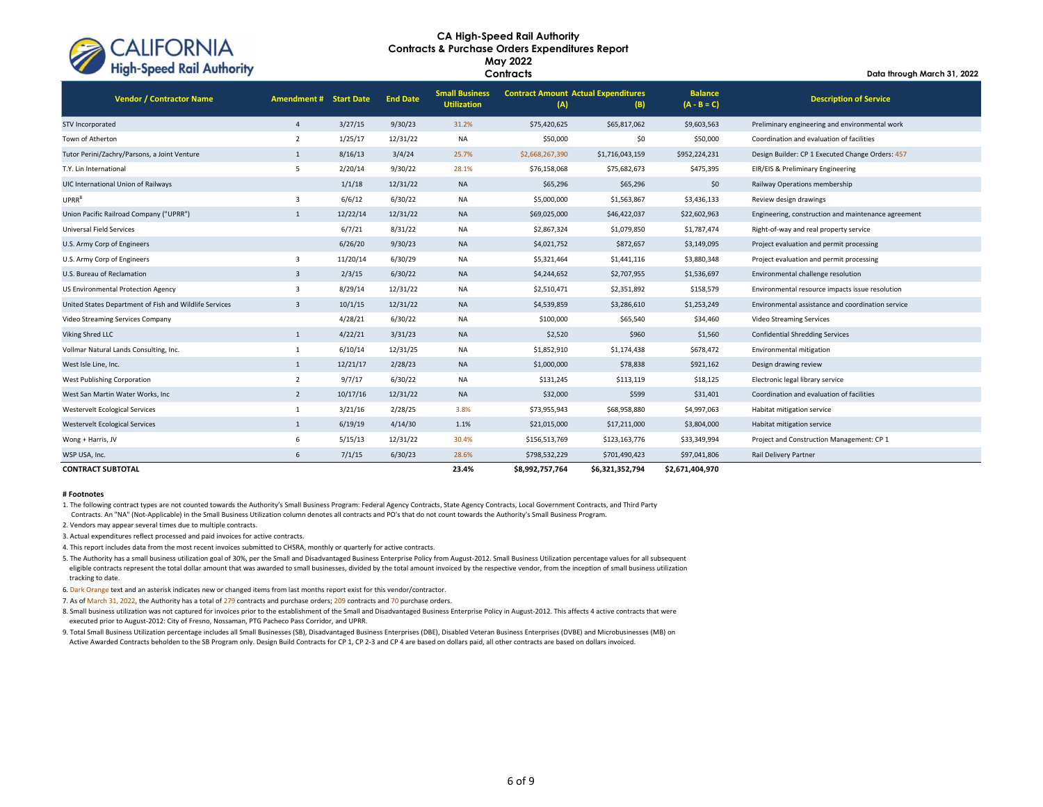

### **CA High-Speed Rail Authority tracts & Purchase Orders Expenditures Report Con May 2022 Contracts**

**Data through March 31, 2022**

| <b>Vendor / Contractor Name</b>                        | <b>Amendment #</b>      | <b>Start Date</b> | <b>End Date</b> | <b>Small Business</b><br><b>Utilization</b> | <b>Contract Amount Actual Expenditures</b><br>(A) | (B)             | <b>Balance</b><br>$(A - B = C)$ | <b>Description of Service</b>                       |  |
|--------------------------------------------------------|-------------------------|-------------------|-----------------|---------------------------------------------|---------------------------------------------------|-----------------|---------------------------------|-----------------------------------------------------|--|
| STV Incorporated                                       | $\overline{4}$          | 3/27/15           | 9/30/23         | 31.2%                                       | \$75,420,625                                      | \$65,817,062    | \$9,603,563                     | Preliminary engineering and environmental work      |  |
| Town of Atherton                                       | $\overline{2}$          | 1/25/17           | 12/31/22        | <b>NA</b>                                   | \$50,000                                          | \$0             | \$50,000                        | Coordination and evaluation of facilities           |  |
| Tutor Perini/Zachry/Parsons, a Joint Venture           | $\mathbf{1}$            | 8/16/13           | 3/4/24          | 25.7%                                       | \$2,668,267,390                                   | \$1,716,043,159 | \$952,224,231                   | Design Builder: CP 1 Executed Change Orders: 457    |  |
| T.Y. Lin International                                 | 5                       | 2/20/14           | 9/30/22         | 28.1%                                       | \$76,158,068                                      | \$75,682,673    | \$475,395                       | EIR/EIS & Preliminary Engineering                   |  |
| UIC International Union of Railways                    |                         | 1/1/18            | 12/31/22        | <b>NA</b>                                   | \$65,296                                          | \$65,296        | \$0                             | Railway Operations membership                       |  |
| UPRR <sup>8</sup>                                      | 3                       | 6/6/12            | 6/30/22         | <b>NA</b>                                   | \$5,000,000                                       | \$1,563,867     | \$3,436,133                     | Review design drawings                              |  |
| Union Pacific Railroad Company ("UPRR")                | $\mathbf{1}$            | 12/22/14          | 12/31/22        | <b>NA</b>                                   | \$69,025,000                                      | \$46,422,037    | \$22,602,963                    | Engineering, construction and maintenance agreement |  |
| Universal Field Services                               |                         | 6/7/21            | 8/31/22         | <b>NA</b>                                   | \$2,867,324                                       | \$1,079,850     | \$1,787,474                     | Right-of-way and real property service              |  |
| U.S. Army Corp of Engineers                            |                         | 6/26/20           | 9/30/23         | <b>NA</b>                                   | \$4,021,752                                       | \$872,657       | \$3,149,095                     | Project evaluation and permit processing            |  |
| U.S. Army Corp of Engineers                            | 3                       | 11/20/14          | 6/30/29         | <b>NA</b>                                   | \$5,321,464                                       | \$1,441,116     | \$3,880,348                     | Project evaluation and permit processing            |  |
| U.S. Bureau of Reclamation                             | 3                       | 2/3/15            | 6/30/22         | <b>NA</b>                                   | \$4,244,652                                       | \$2,707,955     | \$1,536,697                     | Environmental challenge resolution                  |  |
| <b>US Environmental Protection Agency</b>              | $\overline{\mathbf{3}}$ | 8/29/14           | 12/31/22        | <b>NA</b>                                   | \$2,510,471                                       | \$2,351,892     | \$158,579                       | Environmental resource impacts issue resolution     |  |
| United States Department of Fish and Wildlife Services | 3                       | 10/1/15           | 12/31/22        | <b>NA</b>                                   | \$4,539,859                                       | \$3,286,610     | \$1,253,249                     | Environmental assistance and coordination service   |  |
| Video Streaming Services Company                       |                         | 4/28/21           | 6/30/22         | <b>NA</b>                                   | \$100,000                                         | \$65,540        | \$34,460                        | Video Streaming Services                            |  |
| Viking Shred LLC                                       | $\mathbf{1}$            | 4/22/21           | 3/31/23         | <b>NA</b>                                   | \$2,520                                           | \$960           | \$1,560                         | <b>Confidential Shredding Services</b>              |  |
| Vollmar Natural Lands Consulting, Inc.                 | $\mathbf{1}$            | 6/10/14           | 12/31/25        | NA                                          | \$1,852,910                                       | \$1,174,438     | \$678,472                       | Environmental mitigation                            |  |
| West Isle Line, Inc.                                   | $\mathbf{1}$            | 12/21/17          | 2/28/23         | <b>NA</b>                                   | \$1,000,000                                       | \$78,838        | \$921,162                       | Design drawing review                               |  |
| West Publishing Corporation                            | $\overline{2}$          | 9/7/17            | 6/30/22         | <b>NA</b>                                   | \$131,245                                         | \$113,119       | \$18,125                        | Electronic legal library service                    |  |
| West San Martin Water Works, Inc                       | $\overline{2}$          | 10/17/16          | 12/31/22        | <b>NA</b>                                   | \$32,000                                          | \$599           | \$31,401                        | Coordination and evaluation of facilities           |  |
| Westervelt Ecological Services                         | $\mathbf{1}$            | 3/21/16           | 2/28/25         | 3.8%                                        | \$73,955,943                                      | \$68,958,880    | \$4,997,063                     | Habitat mitigation service                          |  |
| <b>Westervelt Ecological Services</b>                  | $\mathbf{1}$            | 6/19/19           | 4/14/30         | 1.1%                                        | \$21,015,000                                      | \$17,211,000    | \$3,804,000                     | Habitat mitigation service                          |  |
| Wong + Harris, JV                                      | 6                       | 5/15/13           | 12/31/22        | 30.4%                                       | \$156,513,769                                     | \$123,163,776   | \$33,349,994                    | Project and Construction Management: CP 1           |  |
| WSP USA, Inc.                                          | 6                       | 7/1/15            | 6/30/23         | 28.6%                                       | \$798,532,229                                     | \$701,490,423   | \$97,041,806                    | <b>Rail Delivery Partner</b>                        |  |
| <b>CONTRACT SUBTOTAL</b>                               |                         |                   |                 | 23.4%                                       | \$8,992,757,764                                   | \$6,321,352,794 | \$2,671,404,970                 |                                                     |  |

#### **# Footnotes**

1. The following contract types are not counted towards the Authority's Small Business Program: Federal Agency Contracts, State Agency Contracts, Local Government Contracts, and Third Party Contracts. An "NA" (Not-Applicable) in the Small Business Utilization column denotes all contracts and PO's that do not count towards the Authority's Small Business Program.

2. Vendors may appear several times due to multiple contracts.

3. Actual expenditures reflect processed and paid invoices for active contracts.

4. This report includes data from the most recent invoices submitted to CHSRA, monthly or quarterly for active contracts.

5. The Authority has a small business utilization goal of 30%, per the Small and Disadvantaged Business Enterprise Policy from August-2012. Small Business Utilization percentage values for all subsequent eligible contracts represent the total dollar amount that was awarded to small businesses, divided by the total amount invoiced by the respective vendor, from the inception of small business utilization tracking to date.

6. Dark Orange text and an asterisk indicates new or changed items from last months report exist for this vendor/contractor.

7. As of March 31, 2022, the Authority has a total of 279 contracts and purchase orders; 209 contracts and 70 purchase orders.

8. Small business utilization was not captured for invoices prior to the establishment of the Small and Disadvantaged Business Enterprise Policy in August-2012. This affects 4 active contracts that were executed prior to August-2012: City of Fresno, Nossaman, PTG Pacheco Pass Corridor, and UPRR.

9. Total Small Business Utilization percentage includes all Small Businesses (SB), Disadvantaged Business Enterprises (DBE), Disabled Veteran Business Enterprises (DVBE) and Microbusinesses (MB) on Active Awarded Contracts beholden to the SB Program only. Design Build Contracts for CP 1, CP 2-3 and CP 4 are based on dollars paid, all other contracts are based on dollars invoiced.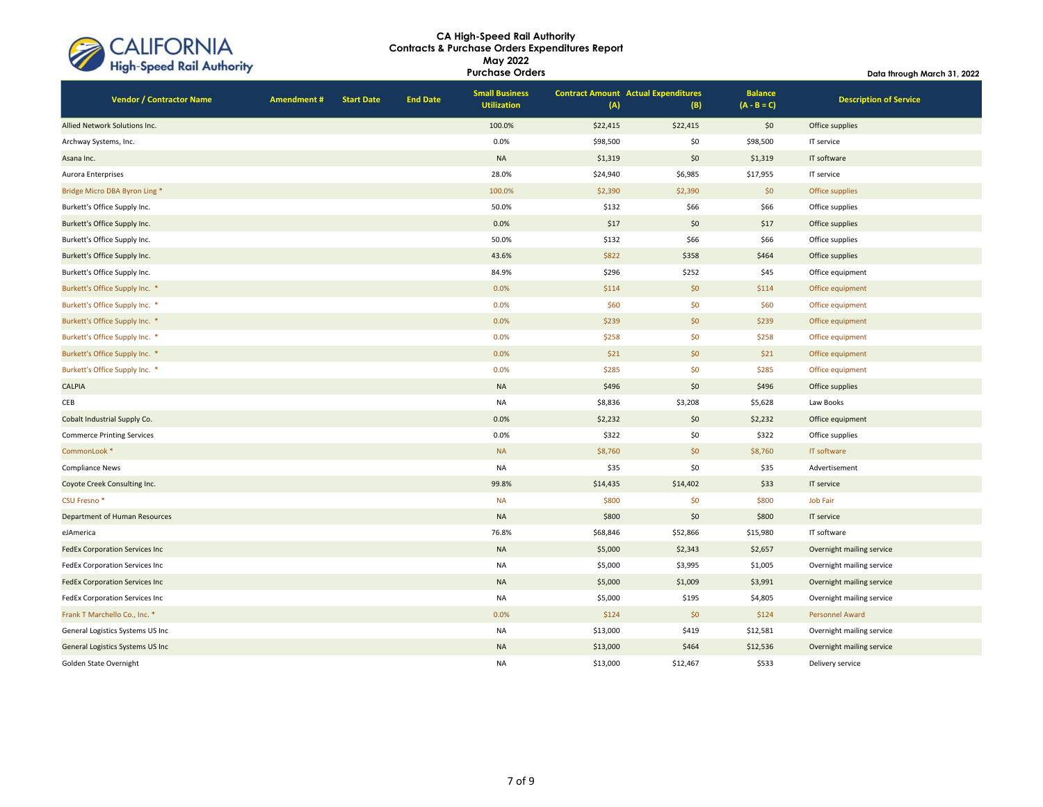| CALIFORNIA<br>High-Speed Rail Authority |
|-----------------------------------------|
|                                         |

| <b>Inigh-speed Kall Authority</b> |                   |                   |                 | <b>Purchase Orders</b>                      |          |                                                   |                                 | Data through March 31, 2022   |  |
|-----------------------------------|-------------------|-------------------|-----------------|---------------------------------------------|----------|---------------------------------------------------|---------------------------------|-------------------------------|--|
| <b>Vendor / Contractor Name</b>   | <b>Amendment#</b> | <b>Start Date</b> | <b>End Date</b> | <b>Small Business</b><br><b>Utilization</b> | (A)      | <b>Contract Amount Actual Expenditures</b><br>(B) | <b>Balance</b><br>$(A - B = C)$ | <b>Description of Service</b> |  |
| Allied Network Solutions Inc.     |                   |                   |                 | 100.0%                                      | \$22,415 | \$22,415                                          | \$0                             | Office supplies               |  |
| Archway Systems, Inc.             |                   |                   |                 | 0.0%                                        | \$98,500 | \$0                                               | \$98,500                        | IT service                    |  |
| Asana Inc.                        |                   |                   |                 | $\sf NA$                                    | \$1,319  | \$0                                               | \$1,319                         | IT software                   |  |
| Aurora Enterprises                |                   |                   |                 | 28.0%                                       | \$24,940 | \$6,985                                           | \$17,955                        | IT service                    |  |
| Bridge Micro DBA Byron Ling *     |                   |                   |                 | 100.0%                                      | \$2,390  | \$2,390                                           | \$0                             | Office supplies               |  |
| Burkett's Office Supply Inc.      |                   |                   |                 | 50.0%                                       | \$132    | \$66                                              | \$66                            | Office supplies               |  |
| Burkett's Office Supply Inc.      |                   |                   |                 | 0.0%                                        | \$17     | \$0                                               | \$17                            | Office supplies               |  |
| Burkett's Office Supply Inc.      |                   |                   |                 | 50.0%                                       | \$132    | \$66                                              | \$66                            | Office supplies               |  |
| Burkett's Office Supply Inc.      |                   |                   |                 | 43.6%                                       | \$822    | \$358                                             | \$464                           | Office supplies               |  |
| Burkett's Office Supply Inc.      |                   |                   |                 | 84.9%                                       | \$296    | \$252                                             | \$45                            | Office equipment              |  |
| Burkett's Office Supply Inc. *    |                   |                   |                 | 0.0%                                        | \$114    | \$0\$                                             | \$114                           | Office equipment              |  |
| Burkett's Office Supply Inc. *    |                   |                   |                 | 0.0%                                        | \$60     | \$0                                               | \$60                            | Office equipment              |  |
| Burkett's Office Supply Inc. *    |                   |                   |                 | 0.0%                                        | \$239    | \$0                                               | \$239                           | Office equipment              |  |
| Burkett's Office Supply Inc. *    |                   |                   |                 | 0.0%                                        | \$258    | \$0                                               | \$258                           | Office equipment              |  |
| Burkett's Office Supply Inc. *    |                   |                   |                 | 0.0%                                        | \$21     | \$0                                               | \$21                            | Office equipment              |  |
| Burkett's Office Supply Inc. *    |                   |                   |                 | 0.0%                                        | \$285    | \$0                                               | \$285                           | Office equipment              |  |
| CALPIA                            |                   |                   |                 | <b>NA</b>                                   | \$496    | \$0                                               | \$496                           | Office supplies               |  |
| CEB                               |                   |                   |                 | <b>NA</b>                                   | \$8,836  | \$3,208                                           | \$5,628                         | Law Books                     |  |
| Cobalt Industrial Supply Co.      |                   |                   |                 | 0.0%                                        | \$2,232  | \$0                                               | \$2,232                         | Office equipment              |  |
| <b>Commerce Printing Services</b> |                   |                   |                 | 0.0%                                        | \$322    | \$0                                               | \$322                           | Office supplies               |  |
| CommonLook *                      |                   |                   |                 | <b>NA</b>                                   | \$8,760  | \$0                                               | \$8,760                         | IT software                   |  |
| <b>Compliance News</b>            |                   |                   |                 | <b>NA</b>                                   | \$35     | \$0                                               | \$35                            | Advertisement                 |  |
| Coyote Creek Consulting Inc.      |                   |                   |                 | 99.8%                                       | \$14,435 | \$14,402                                          | \$33                            | IT service                    |  |
| CSU Fresno*                       |                   |                   |                 | <b>NA</b>                                   | \$800    | \$0                                               | \$800                           | Job Fair                      |  |
| Department of Human Resources     |                   |                   |                 | $\sf NA$                                    | \$800    | \$0                                               | \$800                           | IT service                    |  |
| eJAmerica                         |                   |                   |                 | 76.8%                                       | \$68,846 | \$52,866                                          | \$15,980                        | IT software                   |  |
| FedEx Corporation Services Inc    |                   |                   |                 | <b>NA</b>                                   | \$5,000  | \$2,343                                           | \$2,657                         | Overnight mailing service     |  |
| FedEx Corporation Services Inc    |                   |                   |                 | NA                                          | \$5,000  | \$3,995                                           | \$1,005                         | Overnight mailing service     |  |
| FedEx Corporation Services Inc    |                   |                   |                 | <b>NA</b>                                   | \$5,000  | \$1,009                                           | \$3,991                         | Overnight mailing service     |  |
| FedEx Corporation Services Inc    |                   |                   |                 | <b>NA</b>                                   | \$5,000  | \$195                                             | \$4,805                         | Overnight mailing service     |  |
| Frank T Marchello Co., Inc. *     |                   |                   |                 | 0.0%                                        | \$124    | \$0                                               | \$124                           | Personnel Award               |  |
| General Logistics Systems US Inc  |                   |                   |                 | <b>NA</b>                                   | \$13,000 | \$419                                             | \$12,581                        | Overnight mailing service     |  |
| General Logistics Systems US Inc  |                   |                   |                 | $\sf NA$                                    | \$13,000 | \$464                                             | \$12,536                        | Overnight mailing service     |  |
| Golden State Overnight            |                   |                   |                 | <b>NA</b>                                   | \$13,000 | \$12,467                                          | \$533                           | Delivery service              |  |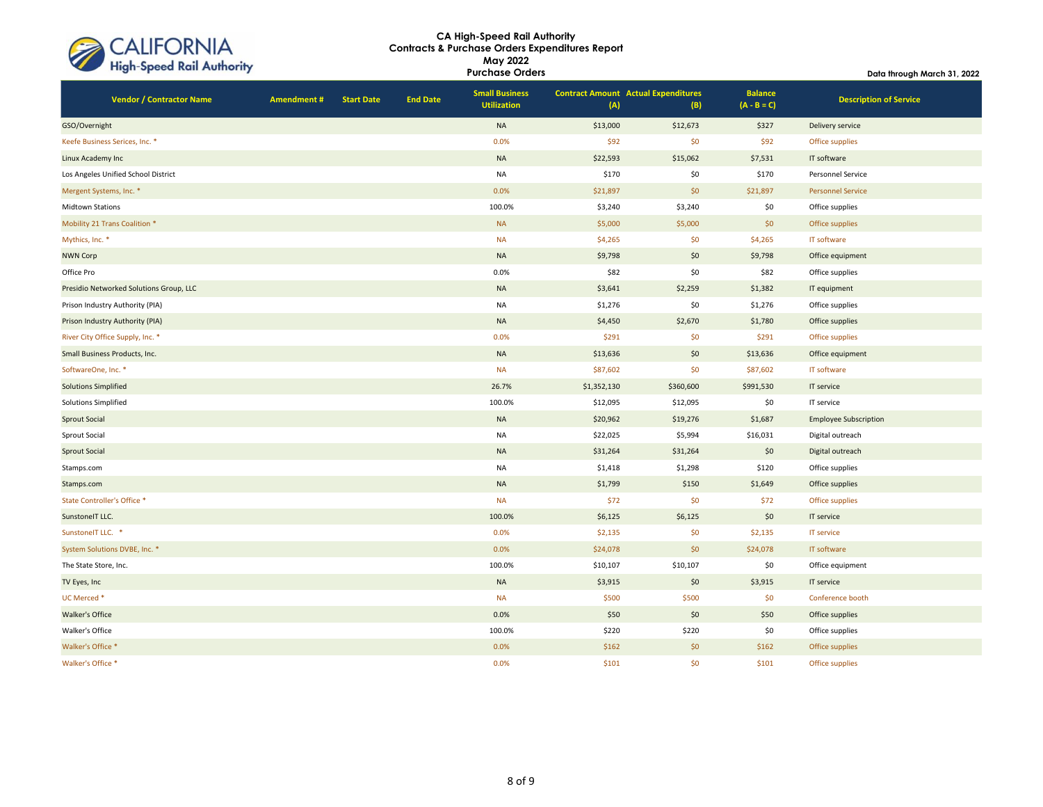| CALIFORNIA<br>High-Speed Rail Authority |  |
|-----------------------------------------|--|
|                                         |  |

| <b>High-speed Kall Authority</b>        |                   |                   |                 | <b>Purchase Orders</b>                      |             |                                                   |                                 | Data through March 31, 2022   |
|-----------------------------------------|-------------------|-------------------|-----------------|---------------------------------------------|-------------|---------------------------------------------------|---------------------------------|-------------------------------|
| <b>Vendor / Contractor Name</b>         | <b>Amendment#</b> | <b>Start Date</b> | <b>End Date</b> | <b>Small Business</b><br><b>Utilization</b> | (A)         | <b>Contract Amount Actual Expenditures</b><br>(B) | <b>Balance</b><br>$(A - B = C)$ | <b>Description of Service</b> |
| GSO/Overnight                           |                   |                   |                 | $\sf NA$                                    | \$13,000    | \$12,673                                          | \$327                           | Delivery service              |
| Keefe Business Serices, Inc. *          |                   |                   |                 | 0.0%                                        | \$92        | \$0                                               | \$92                            | Office supplies               |
| Linux Academy Inc                       |                   |                   |                 | $\sf NA$                                    | \$22,593    | \$15,062                                          | \$7,531                         | IT software                   |
| Los Angeles Unified School District     |                   |                   |                 | <b>NA</b>                                   | \$170       | \$0                                               | \$170                           | Personnel Service             |
| Mergent Systems, Inc. *                 |                   |                   |                 | 0.0%                                        | \$21,897    | \$0                                               | \$21,897                        | <b>Personnel Service</b>      |
| Midtown Stations                        |                   |                   |                 | 100.0%                                      | \$3,240     | \$3,240                                           | \$0                             | Office supplies               |
| Mobility 21 Trans Coalition *           |                   |                   |                 | <b>NA</b>                                   | \$5,000     | \$5,000                                           | \$0                             | Office supplies               |
| Mythics, Inc. *                         |                   |                   |                 | <b>NA</b>                                   | \$4,265     | \$0                                               | \$4,265                         | IT software                   |
| <b>NWN Corp</b>                         |                   |                   |                 | $\sf NA$                                    | \$9,798     | \$0                                               | \$9,798                         | Office equipment              |
| Office Pro                              |                   |                   |                 | 0.0%                                        | \$82        | \$0                                               | \$82                            | Office supplies               |
| Presidio Networked Solutions Group, LLC |                   |                   |                 | $\sf NA$                                    | \$3,641     | \$2,259                                           | \$1,382                         | IT equipment                  |
| Prison Industry Authority (PIA)         |                   |                   |                 | <b>NA</b>                                   | \$1,276     | \$0                                               | \$1,276                         | Office supplies               |
| Prison Industry Authority (PIA)         |                   |                   |                 | <b>NA</b>                                   | \$4,450     | \$2,670                                           | \$1,780                         | Office supplies               |
| River City Office Supply, Inc. *        |                   |                   |                 | 0.0%                                        | \$291       | \$0                                               | \$291                           | Office supplies               |
| Small Business Products, Inc.           |                   |                   |                 | <b>NA</b>                                   | \$13,636    | \$0                                               | \$13,636                        | Office equipment              |
| SoftwareOne, Inc. *                     |                   |                   |                 | <b>NA</b>                                   | \$87,602    | \$0                                               | \$87,602                        | IT software                   |
| <b>Solutions Simplified</b>             |                   |                   |                 | 26.7%                                       | \$1,352,130 | \$360,600                                         | \$991,530                       | IT service                    |
| Solutions Simplified                    |                   |                   |                 | 100.0%                                      | \$12,095    | \$12,095                                          | \$0                             | IT service                    |
| <b>Sprout Social</b>                    |                   |                   |                 | $\sf NA$                                    | \$20,962    | \$19,276                                          | \$1,687                         | <b>Employee Subscription</b>  |
| Sprout Social                           |                   |                   |                 | <b>NA</b>                                   | \$22,025    | \$5,994                                           | \$16,031                        | Digital outreach              |
| <b>Sprout Social</b>                    |                   |                   |                 | $\sf NA$                                    | \$31,264    | \$31,264                                          | \$0                             | Digital outreach              |
| Stamps.com                              |                   |                   |                 | <b>NA</b>                                   | \$1,418     | \$1,298                                           | \$120                           | Office supplies               |
| Stamps.com                              |                   |                   |                 | $\sf NA$                                    | \$1,799     | \$150                                             | \$1,649                         | Office supplies               |
| State Controller's Office *             |                   |                   |                 | <b>NA</b>                                   | \$72        | \$0                                               | \$72                            | Office supplies               |
| SunstoneIT LLC.                         |                   |                   |                 | 100.0%                                      | \$6,125     | \$6,125                                           | \$0                             | IT service                    |
| SunstoneIT LLC. *                       |                   |                   |                 | 0.0%                                        | \$2,135     | \$0                                               | \$2,135                         | IT service                    |
| System Solutions DVBE, Inc. *           |                   |                   |                 | 0.0%                                        | \$24,078    | \$0                                               | \$24,078                        | IT software                   |
| The State Store, Inc.                   |                   |                   |                 | 100.0%                                      | \$10,107    | \$10,107                                          | \$0                             | Office equipment              |
| TV Eyes, Inc                            |                   |                   |                 | $\sf NA$                                    | \$3,915     | \$0                                               | \$3,915                         | IT service                    |
| UC Merced *                             |                   |                   |                 | <b>NA</b>                                   | \$500       | \$500                                             | \$0                             | Conference booth              |
| Walker's Office                         |                   |                   |                 | 0.0%                                        | \$50        | \$0                                               | \$50                            | Office supplies               |
| Walker's Office                         |                   |                   |                 | 100.0%                                      | \$220       | \$220                                             | \$0                             | Office supplies               |
| Walker's Office *                       |                   |                   |                 | 0.0%                                        | \$162       | \$0                                               | \$162                           | Office supplies               |
| Walker's Office *                       |                   |                   |                 | 0.0%                                        | \$101       | \$0                                               | \$101                           | Office supplies               |